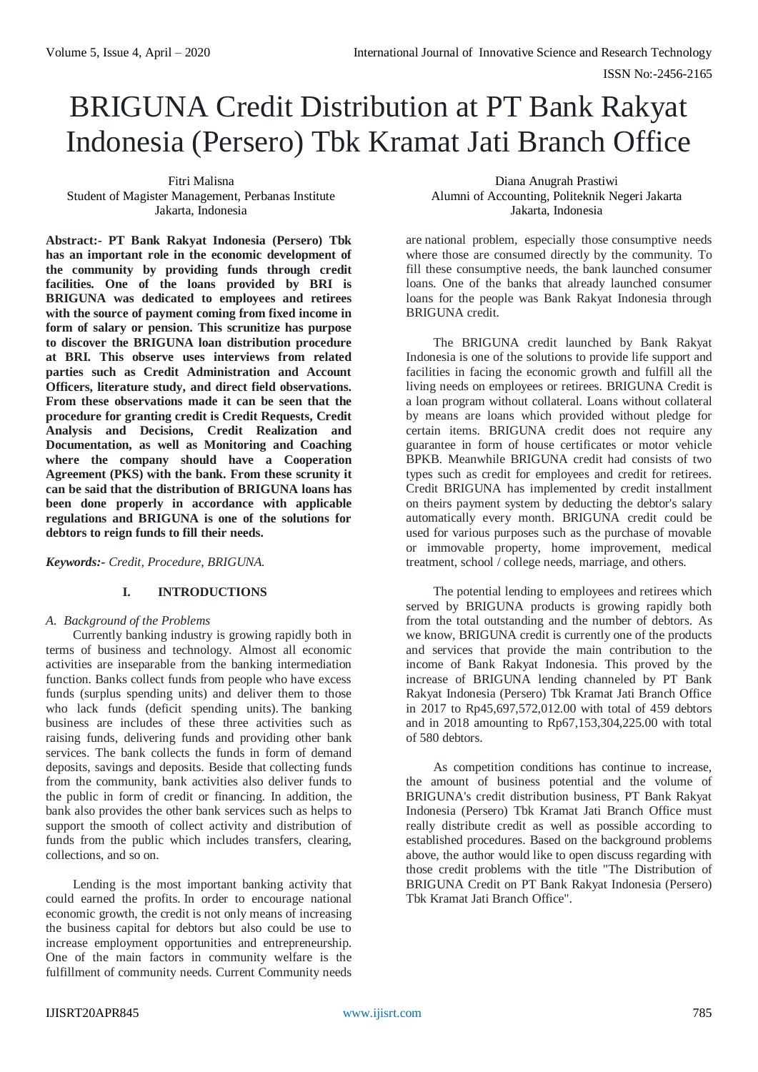# BRIGUNA Credit Distribution at PT Bank Rakyat Indonesia (Persero) Tbk Kramat Jati Branch Office

Fitri Malisna Student of Magister Management, Perbanas Institute Jakarta, Indonesia

**Abstract:- PT Bank Rakyat Indonesia (Persero) Tbk has an important role in the economic development of the community by providing funds through credit facilities. One of the loans provided by BRI is BRIGUNA was dedicated to employees and retirees with the source of payment coming from fixed income in form of salary or pension. This scrunitize has purpose to discover the BRIGUNA loan distribution procedure at BRI. This observe uses interviews from related parties such as Credit Administration and Account Officers, literature study, and direct field observations. From these observations made it can be seen that the procedure for granting credit is Credit Requests, Credit Analysis and Decisions, Credit Realization and Documentation, as well as Monitoring and Coaching where the company should have a Cooperation Agreement (PKS) with the bank. From these scrunity it can be said that the distribution of BRIGUNA loans has been done properly in accordance with applicable regulations and BRIGUNA is one of the solutions for debtors to reign funds to fill their needs.**

*Keywords:- Credit, Procedure, BRIGUNA.*

# **I. INTRODUCTIONS**

# *A. Background of the Problems*

Currently banking industry is growing rapidly both in terms of business and technology. Almost all economic activities are inseparable from the banking intermediation function. Banks collect funds from people who have excess funds (surplus spending units) and deliver them to those who lack funds (deficit spending units). The banking business are includes of these three activities such as raising funds, delivering funds and providing other bank services. The bank collects the funds in form of demand deposits, savings and deposits. Beside that collecting funds from the community, bank activities also deliver funds to the public in form of credit or financing. In addition, the bank also provides the other bank services such as helps to support the smooth of collect activity and distribution of funds from the public which includes transfers, clearing, collections, and so on.

Lending is the most important banking activity that could earned the profits. In order to encourage national economic growth, the credit is not only means of increasing the business capital for debtors but also could be use to increase employment opportunities and entrepreneurship. One of the main factors in community welfare is the fulfillment of community needs. Current Community needs

Diana Anugrah Prastiwi Alumni of Accounting, Politeknik Negeri Jakarta Jakarta, Indonesia

are national problem, especially those consumptive needs where those are consumed directly by the community. To fill these consumptive needs, the bank launched consumer loans. One of the banks that already launched consumer loans for the people was Bank Rakyat Indonesia through BRIGUNA credit.

The BRIGUNA credit launched by Bank Rakyat Indonesia is one of the solutions to provide life support and facilities in facing the economic growth and fulfill all the living needs on employees or retirees. BRIGUNA Credit is a loan program without collateral. Loans without collateral by means are loans which provided without pledge for certain items. BRIGUNA credit does not require any guarantee in form of house certificates or motor vehicle BPKB. Meanwhile BRIGUNA credit had consists of two types such as credit for employees and credit for retirees. Credit BRIGUNA has implemented by credit installment on theirs payment system by deducting the debtor's salary automatically every month. BRIGUNA credit could be used for various purposes such as the purchase of movable or immovable property, home improvement, medical treatment, school / college needs, marriage, and others.

The potential lending to employees and retirees which served by BRIGUNA products is growing rapidly both from the total outstanding and the number of debtors. As we know, BRIGUNA credit is currently one of the products and services that provide the main contribution to the income of Bank Rakyat Indonesia. This proved by the increase of BRIGUNA lending channeled by PT Bank Rakyat Indonesia (Persero) Tbk Kramat Jati Branch Office in 2017 to Rp45,697,572,012.00 with total of 459 debtors and in 2018 amounting to Rp67,153,304,225.00 with total of 580 debtors.

As competition conditions has continue to increase, the amount of business potential and the volume of BRIGUNA's credit distribution business, PT Bank Rakyat Indonesia (Persero) Tbk Kramat Jati Branch Office must really distribute credit as well as possible according to established procedures. Based on the background problems above, the author would like to open discuss regarding with those credit problems with the title "The Distribution of BRIGUNA Credit on PT Bank Rakyat Indonesia (Persero) Tbk Kramat Jati Branch Office".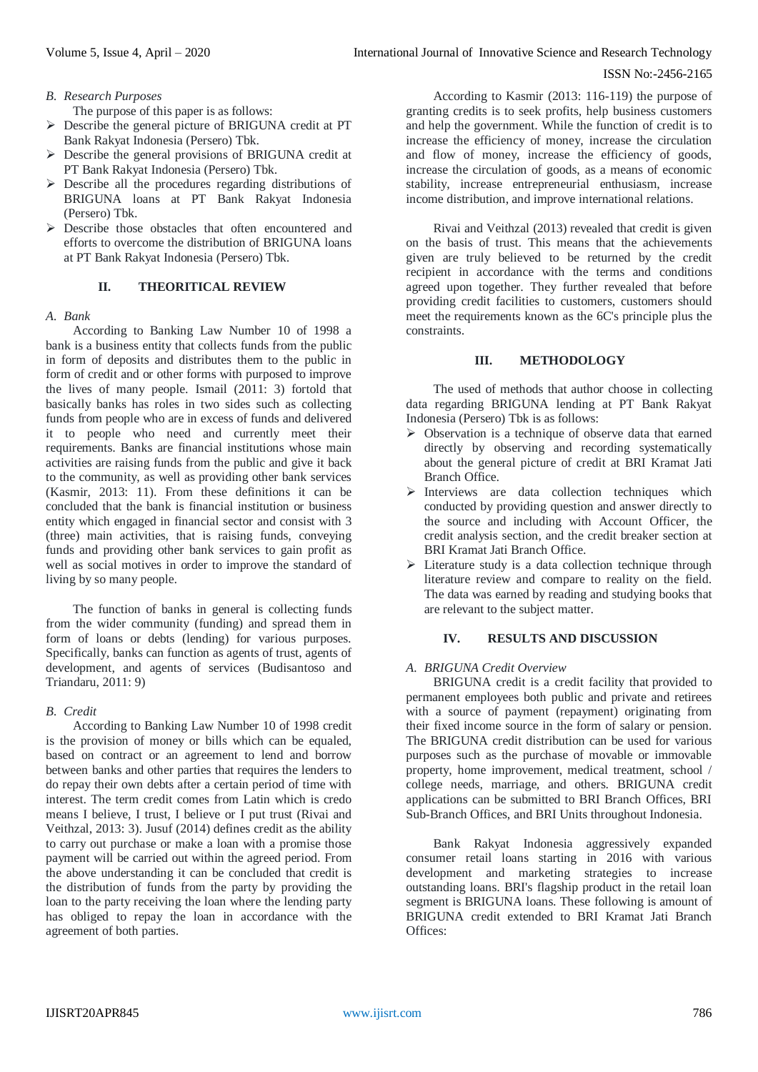*B. Research Purposes*

The purpose of this paper is as follows:

- Describe the general picture of BRIGUNA credit at PT Bank Rakyat Indonesia (Persero) Tbk.
- $\triangleright$  Describe the general provisions of BRIGUNA credit at PT Bank Rakyat Indonesia (Persero) Tbk.
- $\triangleright$  Describe all the procedures regarding distributions of BRIGUNA loans at PT Bank Rakyat Indonesia (Persero) Tbk.
- Describe those obstacles that often encountered and efforts to overcome the distribution of BRIGUNA loans at PT Bank Rakyat Indonesia (Persero) Tbk.

# **II. THEORITICAL REVIEW**

## *A. Bank*

According to Banking Law Number 10 of 1998 a bank is a business entity that collects funds from the public in form of deposits and distributes them to the public in form of credit and or other forms with purposed to improve the lives of many people. Ismail (2011: 3) fortold that basically banks has roles in two sides such as collecting funds from people who are in excess of funds and delivered it to people who need and currently meet their requirements. Banks are financial institutions whose main activities are raising funds from the public and give it back to the community, as well as providing other bank services (Kasmir, 2013: 11). From these definitions it can be concluded that the bank is financial institution or business entity which engaged in financial sector and consist with 3 (three) main activities, that is raising funds, conveying funds and providing other bank services to gain profit as well as social motives in order to improve the standard of living by so many people.

The function of banks in general is collecting funds from the wider community (funding) and spread them in form of loans or debts (lending) for various purposes. Specifically, banks can function as agents of trust, agents of development, and agents of services (Budisantoso and Triandaru, 2011: 9)

## *B. Credit*

According to Banking Law Number 10 of 1998 credit is the provision of money or bills which can be equaled, based on contract or an agreement to lend and borrow between banks and other parties that requires the lenders to do repay their own debts after a certain period of time with interest. The term credit comes from Latin which is credo means I believe, I trust, I believe or I put trust (Rivai and Veithzal, 2013: 3). Jusuf (2014) defines credit as the ability to carry out purchase or make a loan with a promise those payment will be carried out within the agreed period. From the above understanding it can be concluded that credit is the distribution of funds from the party by providing the loan to the party receiving the loan where the lending party has obliged to repay the loan in accordance with the agreement of both parties.

According to Kasmir (2013: 116-119) the purpose of granting credits is to seek profits, help business customers and help the government. While the function of credit is to increase the efficiency of money, increase the circulation and flow of money, increase the efficiency of goods, increase the circulation of goods, as a means of economic stability, increase entrepreneurial enthusiasm, increase income distribution, and improve international relations.

Rivai and Veithzal (2013) revealed that credit is given on the basis of trust. This means that the achievements given are truly believed to be returned by the credit recipient in accordance with the terms and conditions agreed upon together. They further revealed that before providing credit facilities to customers, customers should meet the requirements known as the 6C's principle plus the constraints.

#### **III. METHODOLOGY**

The used of methods that author choose in collecting data regarding BRIGUNA lending at PT Bank Rakyat Indonesia (Persero) Tbk is as follows:

- $\triangleright$  Observation is a technique of observe data that earned directly by observing and recording systematically about the general picture of credit at BRI Kramat Jati Branch Office.
- $\triangleright$  Interviews are data collection techniques which conducted by providing question and answer directly to the source and including with Account Officer, the credit analysis section, and the credit breaker section at BRI Kramat Jati Branch Office.
- $\triangleright$  Literature study is a data collection technique through literature review and compare to reality on the field. The data was earned by reading and studying books that are relevant to the subject matter.

## **IV. RESULTS AND DISCUSSION**

## *A. BRIGUNA Credit Overview*

BRIGUNA credit is a credit facility that provided to permanent employees both public and private and retirees with a source of payment (repayment) originating from their fixed income source in the form of salary or pension. The BRIGUNA credit distribution can be used for various purposes such as the purchase of movable or immovable property, home improvement, medical treatment, school / college needs, marriage, and others. BRIGUNA credit applications can be submitted to BRI Branch Offices, BRI Sub-Branch Offices, and BRI Units throughout Indonesia.

Bank Rakyat Indonesia aggressively expanded consumer retail loans starting in 2016 with various development and marketing strategies to increase outstanding loans. BRI's flagship product in the retail loan segment is BRIGUNA loans. These following is amount of BRIGUNA credit extended to BRI Kramat Jati Branch Offices: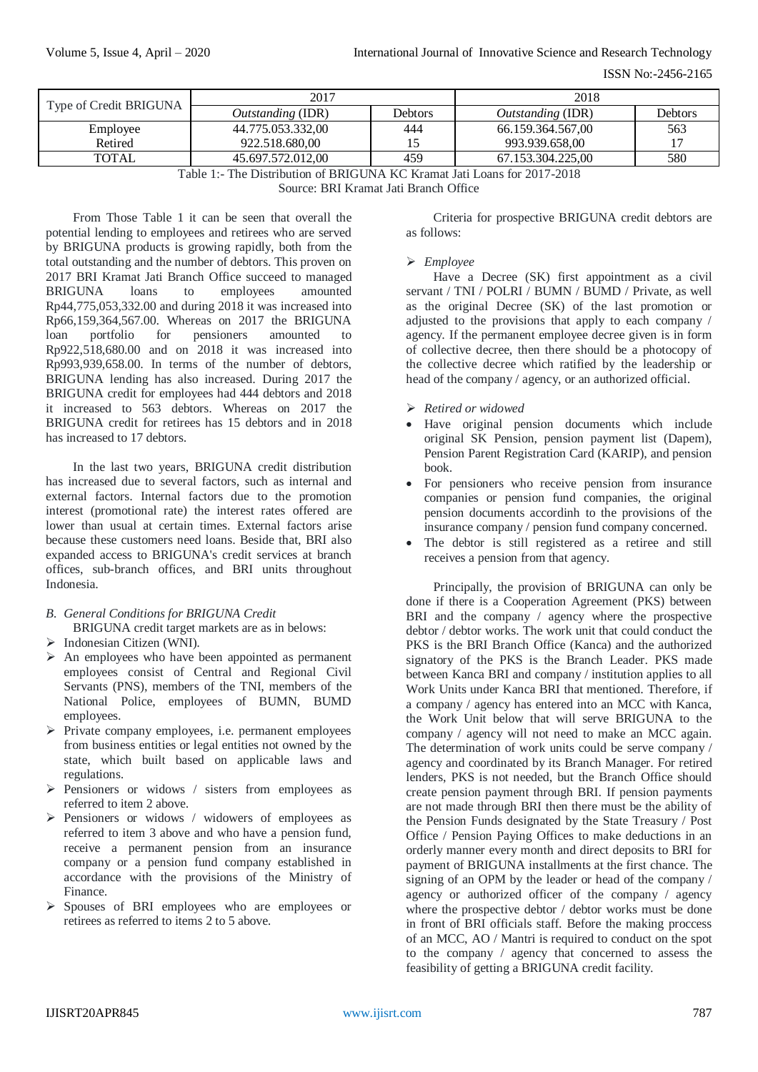ISSN No:-2456-2165

| Type of Credit BRIGUNA                                                   | 2017                     |         | 2018                     |         |
|--------------------------------------------------------------------------|--------------------------|---------|--------------------------|---------|
|                                                                          | <i>Outstanding</i> (IDR) | Debtors | <i>Outstanding</i> (IDR) | Debtors |
| Employee                                                                 | 44.775.053.332,00        | 444     | 66.159.364.567,00        | 563     |
| Retired                                                                  | 922.518.680.00           |         | 993.939.658,00           | 17      |
| <b>TOTAL</b>                                                             | 45.697.572.012.00        | 459     | 67.153.304.225.00        | 580     |
| Table 1:- The Distribution of BRIGUNA KC Kramat Jati Loans for 2017-2018 |                          |         |                          |         |

Source: BRI Kramat Jati Branch Office

From Those Table 1 it can be seen that overall the potential lending to employees and retirees who are served by BRIGUNA products is growing rapidly, both from the total outstanding and the number of debtors. This proven on 2017 BRI Kramat Jati Branch Office succeed to managed BRIGUNA loans to employees amounted Rp44,775,053,332.00 and during 2018 it was increased into Rp66,159,364,567.00. Whereas on 2017 the BRIGUNA loan portfolio for pensioners amounted to Rp922,518,680.00 and on 2018 it was increased into Rp993,939,658.00. In terms of the number of debtors, BRIGUNA lending has also increased. During 2017 the BRIGUNA credit for employees had 444 debtors and 2018 it increased to 563 debtors. Whereas on 2017 the BRIGUNA credit for retirees has 15 debtors and in 2018 has increased to 17 debtors.

In the last two years, BRIGUNA credit distribution has increased due to several factors, such as internal and external factors. Internal factors due to the promotion interest (promotional rate) the interest rates offered are lower than usual at certain times. External factors arise because these customers need loans. Beside that, BRI also expanded access to BRIGUNA's credit services at branch offices, sub-branch offices, and BRI units throughout Indonesia.

- *B. General Conditions for BRIGUNA Credit* BRIGUNA credit target markets are as in belows:
- $\triangleright$  Indonesian Citizen (WNI).
- $\triangleright$  An employees who have been appointed as permanent employees consist of Central and Regional Civil Servants (PNS), members of the TNI, members of the National Police, employees of BUMN, BUMD employees.
- $\triangleright$  Private company employees, i.e. permanent employees from business entities or legal entities not owned by the state, which built based on applicable laws and regulations.
- $\triangleright$  Pensioners or widows / sisters from employees as referred to item 2 above.
- Pensioners or widows / widowers of employees as referred to item 3 above and who have a pension fund, receive a permanent pension from an insurance company or a pension fund company established in accordance with the provisions of the Ministry of Finance.
- Spouses of BRI employees who are employees or retirees as referred to items 2 to 5 above.

Criteria for prospective BRIGUNA credit debtors are as follows:

# *Employee*

Have a Decree (SK) first appointment as a civil servant / TNI / POLRI / BUMN / BUMD / Private, as well as the original Decree (SK) of the last promotion or adjusted to the provisions that apply to each company / agency. If the permanent employee decree given is in form of collective decree, then there should be a photocopy of the collective decree which ratified by the leadership or head of the company / agency, or an authorized official.

- *Retired or widowed*
- Have original pension documents which include original SK Pension, pension payment list (Dapem), Pension Parent Registration Card (KARIP), and pension book.
- For pensioners who receive pension from insurance companies or pension fund companies, the original pension documents accordinh to the provisions of the insurance company / pension fund company concerned.
- The debtor is still registered as a retiree and still receives a pension from that agency.

Principally, the provision of BRIGUNA can only be done if there is a Cooperation Agreement (PKS) between BRI and the company / agency where the prospective debtor / debtor works. The work unit that could conduct the PKS is the BRI Branch Office (Kanca) and the authorized signatory of the PKS is the Branch Leader. PKS made between Kanca BRI and company / institution applies to all Work Units under Kanca BRI that mentioned. Therefore, if a company / agency has entered into an MCC with Kanca, the Work Unit below that will serve BRIGUNA to the company / agency will not need to make an MCC again. The determination of work units could be serve company / agency and coordinated by its Branch Manager. For retired lenders, PKS is not needed, but the Branch Office should create pension payment through BRI. If pension payments are not made through BRI then there must be the ability of the Pension Funds designated by the State Treasury / Post Office / Pension Paying Offices to make deductions in an orderly manner every month and direct deposits to BRI for payment of BRIGUNA installments at the first chance. The signing of an OPM by the leader or head of the company / agency or authorized officer of the company / agency where the prospective debtor / debtor works must be done in front of BRI officials staff. Before the making proccess of an MCC, AO / Mantri is required to conduct on the spot to the company / agency that concerned to assess the feasibility of getting a BRIGUNA credit facility.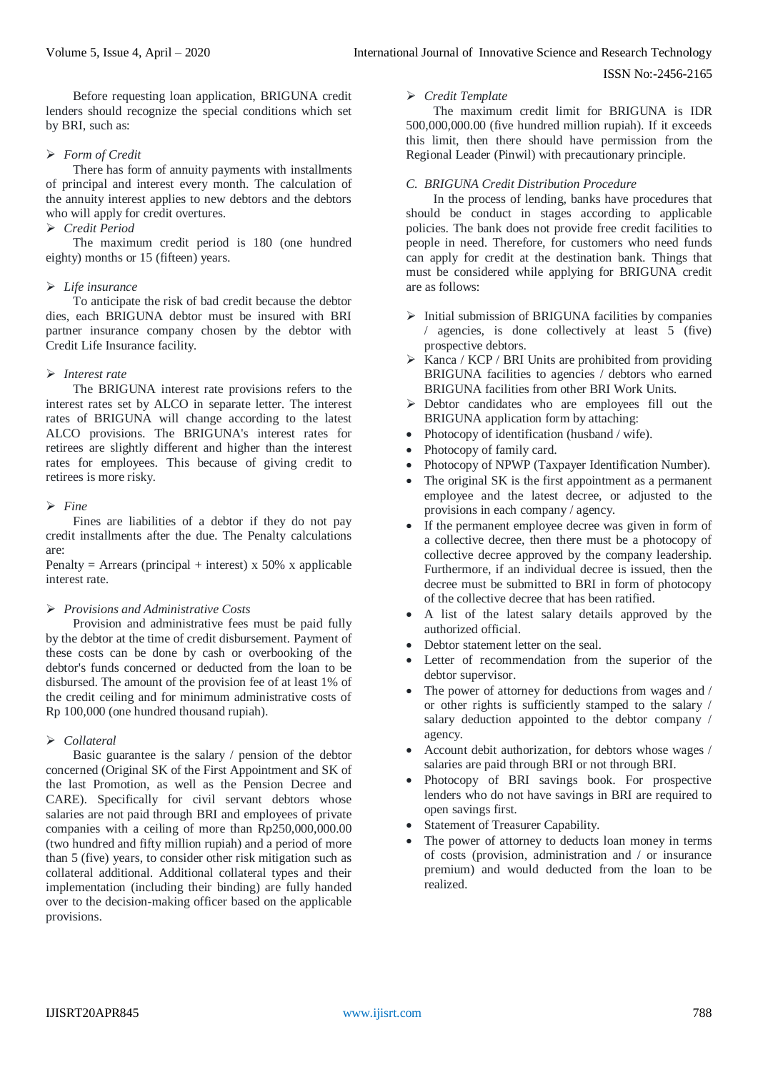Before requesting loan application, BRIGUNA credit lenders should recognize the special conditions which set by BRI, such as:

# *Form of Credit*

There has form of annuity payments with installments of principal and interest every month. The calculation of the annuity interest applies to new debtors and the debtors who will apply for credit overtures.

# *Credit Period*

The maximum credit period is 180 (one hundred eighty) months or 15 (fifteen) years.

# *Life insurance*

To anticipate the risk of bad credit because the debtor dies, each BRIGUNA debtor must be insured with BRI partner insurance company chosen by the debtor with Credit Life Insurance facility.

# *Interest rate*

The BRIGUNA interest rate provisions refers to the interest rates set by ALCO in separate letter. The interest rates of BRIGUNA will change according to the latest ALCO provisions. The BRIGUNA's interest rates for retirees are slightly different and higher than the interest rates for employees. This because of giving credit to retirees is more risky.

# *Fine*

Fines are liabilities of a debtor if they do not pay credit installments after the due. The Penalty calculations are:

Penalty = Arrears (principal + interest) x 50% x applicable interest rate.

## *Provisions and Administrative Costs*

Provision and administrative fees must be paid fully by the debtor at the time of credit disbursement. Payment of these costs can be done by cash or overbooking of the debtor's funds concerned or deducted from the loan to be disbursed. The amount of the provision fee of at least 1% of the credit ceiling and for minimum administrative costs of Rp 100,000 (one hundred thousand rupiah).

# *Collateral*

Basic guarantee is the salary / pension of the debtor concerned (Original SK of the First Appointment and SK of the last Promotion, as well as the Pension Decree and CARE). Specifically for civil servant debtors whose salaries are not paid through BRI and employees of private companies with a ceiling of more than Rp250,000,000.00 (two hundred and fifty million rupiah) and a period of more than 5 (five) years, to consider other risk mitigation such as collateral additional. Additional collateral types and their implementation (including their binding) are fully handed over to the decision-making officer based on the applicable provisions.

#### *Credit Template*

The maximum credit limit for BRIGUNA is IDR 500,000,000.00 (five hundred million rupiah). If it exceeds this limit, then there should have permission from the Regional Leader (Pinwil) with precautionary principle.

# *C. BRIGUNA Credit Distribution Procedure*

In the process of lending, banks have procedures that should be conduct in stages according to applicable policies. The bank does not provide free credit facilities to people in need. Therefore, for customers who need funds can apply for credit at the destination bank. Things that must be considered while applying for BRIGUNA credit are as follows:

- $\triangleright$  Initial submission of BRIGUNA facilities by companies / agencies, is done collectively at least  $5$  (five) prospective debtors.
- $\triangleright$  Kanca / KCP / BRI Units are prohibited from providing BRIGUNA facilities to agencies / debtors who earned BRIGUNA facilities from other BRI Work Units.
- $\triangleright$  Debtor candidates who are employees fill out the BRIGUNA application form by attaching:
- Photocopy of identification (husband / wife).
- Photocopy of family card.
- Photocopy of NPWP (Taxpayer Identification Number).
- The original SK is the first appointment as a permanent employee and the latest decree, or adjusted to the provisions in each company / agency.
- If the permanent employee decree was given in form of a collective decree, then there must be a photocopy of collective decree approved by the company leadership. Furthermore, if an individual decree is issued, then the decree must be submitted to BRI in form of photocopy of the collective decree that has been ratified.
- A list of the latest salary details approved by the authorized official.
- Debtor statement letter on the seal.
- Letter of recommendation from the superior of the debtor supervisor.
- The power of attorney for deductions from wages and / or other rights is sufficiently stamped to the salary / salary deduction appointed to the debtor company / agency.
- Account debit authorization, for debtors whose wages / salaries are paid through BRI or not through BRI.
- Photocopy of BRI savings book. For prospective lenders who do not have savings in BRI are required to open savings first.
- Statement of Treasurer Capability.
- The power of attorney to deducts loan money in terms of costs (provision, administration and / or insurance premium) and would deducted from the loan to be realized.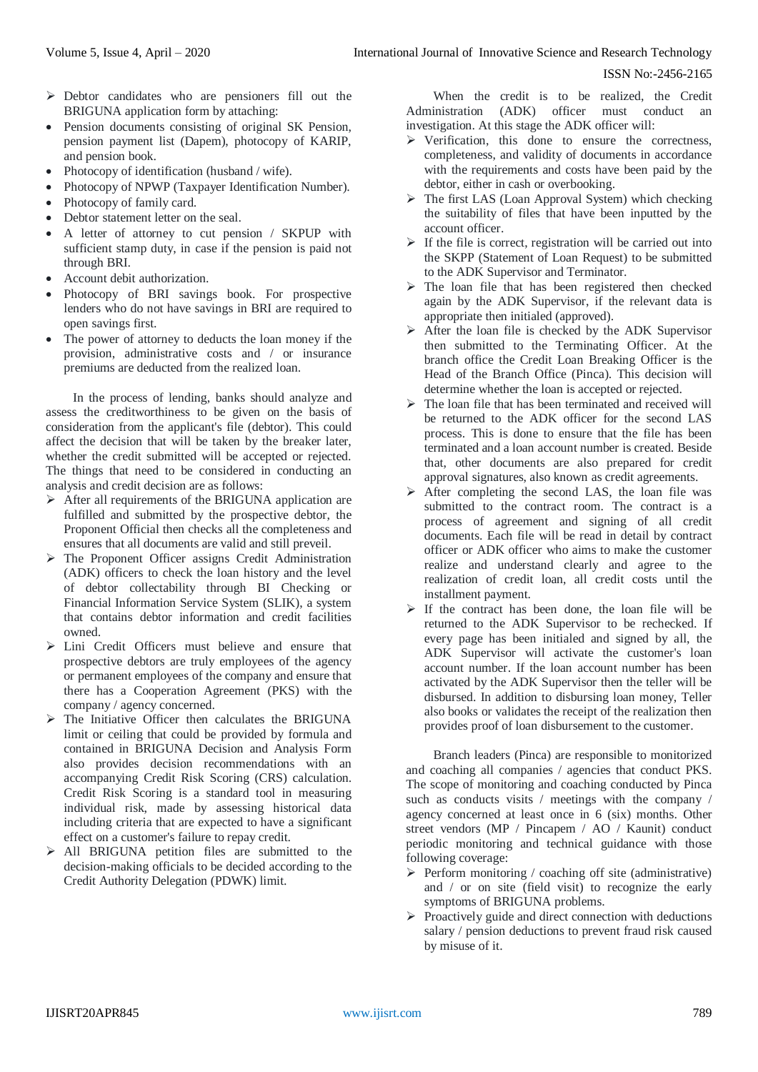- $\triangleright$  Debtor candidates who are pensioners fill out the BRIGUNA application form by attaching:
- Pension documents consisting of original SK Pension, pension payment list (Dapem), photocopy of KARIP, and pension book.
- Photocopy of identification (husband / wife).
- Photocopy of NPWP (Taxpayer Identification Number).
- Photocopy of family card.
- Debtor statement letter on the seal.
- A letter of attorney to cut pension / SKPUP with sufficient stamp duty, in case if the pension is paid not through BRI.
- Account debit authorization.
- Photocopy of BRI savings book. For prospective lenders who do not have savings in BRI are required to open savings first.
- The power of attorney to deducts the loan money if the provision, administrative costs and / or insurance premiums are deducted from the realized loan.

In the process of lending, banks should analyze and assess the creditworthiness to be given on the basis of consideration from the applicant's file (debtor). This could affect the decision that will be taken by the breaker later, whether the credit submitted will be accepted or rejected. The things that need to be considered in conducting an analysis and credit decision are as follows:

- $\triangleright$  After all requirements of the BRIGUNA application are fulfilled and submitted by the prospective debtor, the Proponent Official then checks all the completeness and ensures that all documents are valid and still preveil.
- $\triangleright$  The Proponent Officer assigns Credit Administration (ADK) officers to check the loan history and the level of debtor collectability through BI Checking or Financial Information Service System (SLIK), a system that contains debtor information and credit facilities owned.
- $\triangleright$  Lini Credit Officers must believe and ensure that prospective debtors are truly employees of the agency or permanent employees of the company and ensure that there has a Cooperation Agreement (PKS) with the company / agency concerned.
- $\triangleright$  The Initiative Officer then calculates the BRIGUNA limit or ceiling that could be provided by formula and contained in BRIGUNA Decision and Analysis Form also provides decision recommendations with an accompanying Credit Risk Scoring (CRS) calculation. Credit Risk Scoring is a standard tool in measuring individual risk, made by assessing historical data including criteria that are expected to have a significant effect on a customer's failure to repay credit.
- All BRIGUNA petition files are submitted to the decision-making officials to be decided according to the Credit Authority Delegation (PDWK) limit.

When the credit is to be realized, the Credit Administration (ADK) officer must conduct an investigation. At this stage the ADK officer will:

- $\triangleright$  Verification, this done to ensure the correctness, completeness, and validity of documents in accordance with the requirements and costs have been paid by the debtor, either in cash or overbooking.
- $\triangleright$  The first LAS (Loan Approval System) which checking the suitability of files that have been inputted by the account officer.
- $\triangleright$  If the file is correct, registration will be carried out into the SKPP (Statement of Loan Request) to be submitted to the ADK Supervisor and Terminator.
- $\triangleright$  The loan file that has been registered then checked again by the ADK Supervisor, if the relevant data is appropriate then initialed (approved).
- $\triangleright$  After the loan file is checked by the ADK Supervisor then submitted to the Terminating Officer. At the branch office the Credit Loan Breaking Officer is the Head of the Branch Office (Pinca). This decision will determine whether the loan is accepted or rejected.
- $\triangleright$  The loan file that has been terminated and received will be returned to the ADK officer for the second LAS process. This is done to ensure that the file has been terminated and a loan account number is created. Beside that, other documents are also prepared for credit approval signatures, also known as credit agreements.
- $\triangleright$  After completing the second LAS, the loan file was submitted to the contract room. The contract is a process of agreement and signing of all credit documents. Each file will be read in detail by contract officer or ADK officer who aims to make the customer realize and understand clearly and agree to the realization of credit loan, all credit costs until the installment payment.
- $\triangleright$  If the contract has been done, the loan file will be returned to the ADK Supervisor to be rechecked. If every page has been initialed and signed by all, the ADK Supervisor will activate the customer's loan account number. If the loan account number has been activated by the ADK Supervisor then the teller will be disbursed. In addition to disbursing loan money, Teller also books or validates the receipt of the realization then provides proof of loan disbursement to the customer.

Branch leaders (Pinca) are responsible to monitorized and coaching all companies / agencies that conduct PKS. The scope of monitoring and coaching conducted by Pinca such as conducts visits / meetings with the company / agency concerned at least once in 6 (six) months. Other street vendors (MP / Pincapem / AO / Kaunit) conduct periodic monitoring and technical guidance with those following coverage:

- $\triangleright$  Perform monitoring / coaching off site (administrative) and / or on site (field visit) to recognize the early symptoms of BRIGUNA problems.
- $\triangleright$  Proactively guide and direct connection with deductions salary / pension deductions to prevent fraud risk caused by misuse of it.